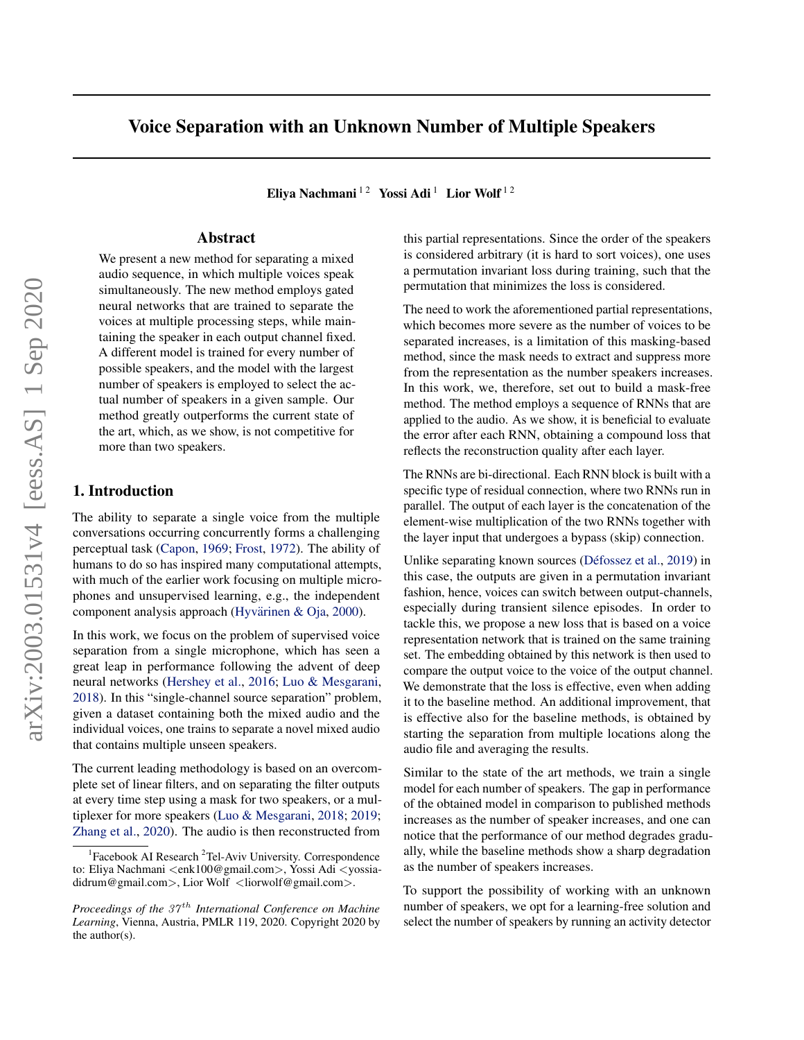# Voice Separation with an Unknown Number of Multiple Speakers

Eliya Nachmani<sup>12</sup> Yossi Adi<sup>1</sup> Lior Wolf<sup>12</sup>

# Abstract

We present a new method for separating a mixed audio sequence, in which multiple voices speak simultaneously. The new method employs gated neural networks that are trained to separate the voices at multiple processing steps, while maintaining the speaker in each output channel fixed. A different model is trained for every number of possible speakers, and the model with the largest number of speakers is employed to select the actual number of speakers in a given sample. Our method greatly outperforms the current state of the art, which, as we show, is not competitive for more than two speakers.

# 1. Introduction

The ability to separate a single voice from the multiple conversations occurring concurrently forms a challenging perceptual task [\(Capon,](#page-9-0) [1969;](#page-9-0) [Frost,](#page-9-0) [1972\)](#page-9-0). The ability of humans to do so has inspired many computational attempts, with much of the earlier work focusing on multiple microphones and unsupervised learning, e.g., the independent component analysis approach (Hyvärinen & Oja, [2000\)](#page-9-0).

In this work, we focus on the problem of supervised voice separation from a single microphone, which has seen a great leap in performance following the advent of deep neural networks [\(Hershey et al.,](#page-9-0) [2016;](#page-9-0) [Luo & Mesgarani,](#page-9-0) [2018\)](#page-9-0). In this "single-channel source separation" problem, given a dataset containing both the mixed audio and the individual voices, one trains to separate a novel mixed audio that contains multiple unseen speakers.

The current leading methodology is based on an overcomplete set of linear filters, and on separating the filter outputs at every time step using a mask for two speakers, or a multiplexer for more speakers [\(Luo & Mesgarani,](#page-9-0) [2018;](#page-9-0) [2019;](#page-10-0) [Zhang et al.,](#page-11-0) [2020\)](#page-11-0). The audio is then reconstructed from

this partial representations. Since the order of the speakers is considered arbitrary (it is hard to sort voices), one uses a permutation invariant loss during training, such that the permutation that minimizes the loss is considered.

The need to work the aforementioned partial representations, which becomes more severe as the number of voices to be separated increases, is a limitation of this masking-based method, since the mask needs to extract and suppress more from the representation as the number speakers increases. In this work, we, therefore, set out to build a mask-free method. The method employs a sequence of RNNs that are applied to the audio. As we show, it is beneficial to evaluate the error after each RNN, obtaining a compound loss that reflects the reconstruction quality after each layer.

The RNNs are bi-directional. Each RNN block is built with a specific type of residual connection, where two RNNs run in parallel. The output of each layer is the concatenation of the element-wise multiplication of the two RNNs together with the layer input that undergoes a bypass (skip) connection.

Unlike separating known sources (Défossez et al., [2019\)](#page-9-0) in this case, the outputs are given in a permutation invariant fashion, hence, voices can switch between output-channels, especially during transient silence episodes. In order to tackle this, we propose a new loss that is based on a voice representation network that is trained on the same training set. The embedding obtained by this network is then used to compare the output voice to the voice of the output channel. We demonstrate that the loss is effective, even when adding it to the baseline method. An additional improvement, that is effective also for the baseline methods, is obtained by starting the separation from multiple locations along the audio file and averaging the results.

Similar to the state of the art methods, we train a single model for each number of speakers. The gap in performance of the obtained model in comparison to published methods increases as the number of speaker increases, and one can notice that the performance of our method degrades gradually, while the baseline methods show a sharp degradation as the number of speakers increases.

To support the possibility of working with an unknown number of speakers, we opt for a learning-free solution and select the number of speakers by running an activity detector

<sup>&</sup>lt;sup>1</sup>Facebook AI Research<sup>2</sup>Tel-Aviv University. Correspondence to: Eliya Nachmani <enk100@gmail.com>, Yossi Adi <yossiadidrum@gmail.com>, Lior Wolf <liorwolf@gmail.com>.

*Proceedings of the 37<sup>th</sup> International Conference on Machine Learning*, Vienna, Austria, PMLR 119, 2020. Copyright 2020 by the author(s).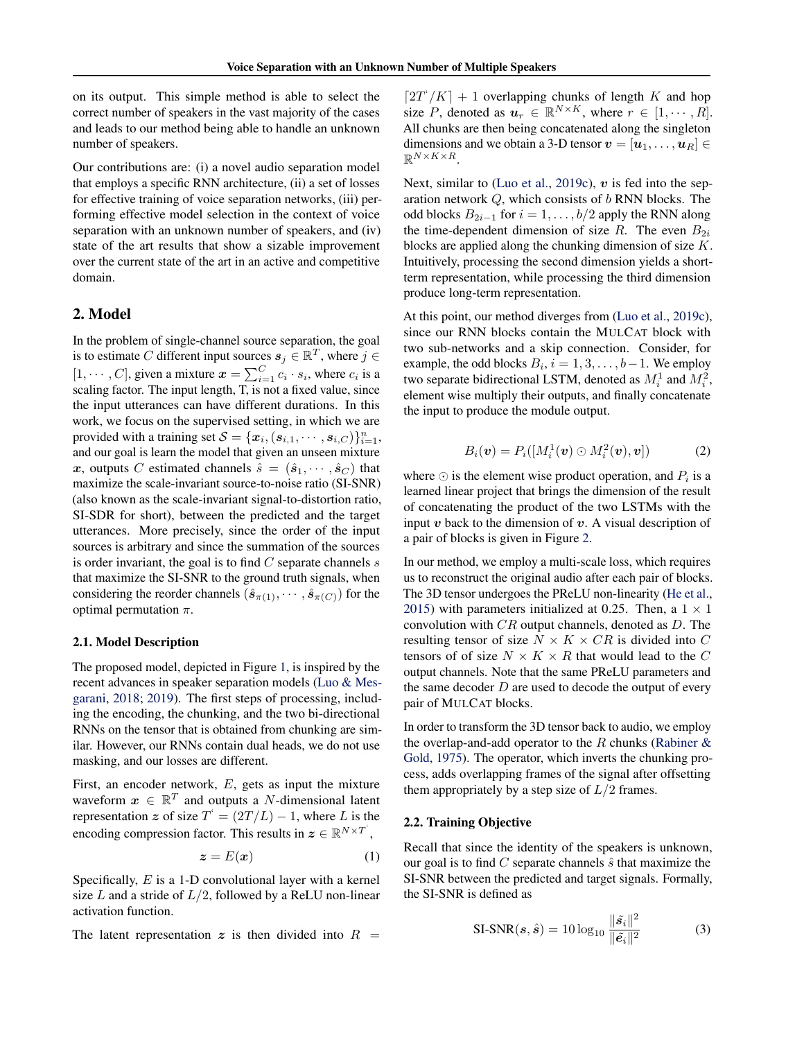on its output. This simple method is able to select the correct number of speakers in the vast majority of the cases and leads to our method being able to handle an unknown number of speakers.

Our contributions are: (i) a novel audio separation model that employs a specific RNN architecture, (ii) a set of losses for effective training of voice separation networks, (iii) performing effective model selection in the context of voice separation with an unknown number of speakers, and (iv) state of the art results that show a sizable improvement over the current state of the art in an active and competitive domain.

# 2. Model

In the problem of single-channel source separation, the goal is to estimate C different input sources  $s_j \in \mathbb{R}^T$ , where  $j \in$  $[1, \cdots, C]$ , given a mixture  $x = \sum_{i=1}^{C} c_i \cdot s_i$ , where  $c_i$  is a scaling factor. The input length, T, is not a fixed value, since the input utterances can have different durations. In this work, we focus on the supervised setting, in which we are provided with a training set  $S = \{x_i, (s_{i,1}, \dots, s_{i,C})\}_{i=1}^n$ , and our goal is learn the model that given an unseen mixture x, outputs C estimated channels  $\hat{s} = (\hat{s}_1, \dots, \hat{s}_C)$  that maximize the scale-invariant source-to-noise ratio (SI-SNR) (also known as the scale-invariant signal-to-distortion ratio, SI-SDR for short), between the predicted and the target utterances. More precisely, since the order of the input sources is arbitrary and since the summation of the sources is order invariant, the goal is to find  $C$  separate channels  $s$ that maximize the SI-SNR to the ground truth signals, when considering the reorder channels  $(\hat{s}_{\pi(1)}, \cdots, \hat{s}_{\pi(C)})$  for the optimal permutation  $\pi$ .

#### 2.1. Model Description

The proposed model, depicted in Figure [1,](#page-2-0) is inspired by the recent advances in speaker separation models [\(Luo & Mes](#page-9-0)[garani,](#page-9-0) [2018;](#page-9-0) [2019\)](#page-10-0). The first steps of processing, including the encoding, the chunking, and the two bi-directional RNNs on the tensor that is obtained from chunking are similar. However, our RNNs contain dual heads, we do not use masking, and our losses are different.

First, an encoder network, E, gets as input the mixture waveform  $x \in \mathbb{R}^T$  and outputs a N-dimensional latent representation z of size  $T^* = (2T/L) - 1$ , where L is the encoding compression factor. This results in  $\boldsymbol{z} \in \mathbb{R}^{N \times T}$ ,

$$
z = E(x) \tag{1}
$$

Specifically,  $E$  is a 1-D convolutional layer with a kernel size  $L$  and a stride of  $L/2$ , followed by a ReLU non-linear activation function.

The latent representation z is then divided into  $R =$ 

 $\left[2T'/K\right] + 1$  overlapping chunks of length K and hop size P, denoted as  $u_r \in \mathbb{R}^{N \times K}$ , where  $r \in [1, \dots, R]$ . All chunks are then being concatenated along the singleton dimensions and we obtain a 3-D tensor  $v = [\boldsymbol{u}_1, \dots, \boldsymbol{u}_R] \in$  $\mathbb{R}^{N\times K\times R}$ .

Next, similar to [\(Luo et al.,](#page-10-0) [2019c\)](#page-10-0),  $v$  is fed into the separation network  $Q$ , which consists of  $b$  RNN blocks. The odd blocks  $B_{2i-1}$  for  $i = 1, \ldots, b/2$  apply the RNN along the time-dependent dimension of size R. The even  $B_{2i}$ blocks are applied along the chunking dimension of size  $K$ . Intuitively, processing the second dimension yields a shortterm representation, while processing the third dimension produce long-term representation.

At this point, our method diverges from [\(Luo et al.,](#page-10-0) [2019c\)](#page-10-0), since our RNN blocks contain the MULCAT block with two sub-networks and a skip connection. Consider, for example, the odd blocks  $B_i$ ,  $i = 1, 3, \dots, b-1$ . We employ two separate bidirectional LSTM, denoted as  $M_i^1$  and  $M_i^2$ , element wise multiply their outputs, and finally concatenate the input to produce the module output.

$$
B_i(\boldsymbol{v}) = P_i([M_i^1(\boldsymbol{v}) \odot M_i^2(\boldsymbol{v}), \boldsymbol{v}]) \qquad (2)
$$

where  $\odot$  is the element wise product operation, and  $P_i$  is a learned linear project that brings the dimension of the result of concatenating the product of the two LSTMs with the input  $v$  back to the dimension of  $v$ . A visual description of a pair of blocks is given in Figure [2.](#page-2-0)

In our method, we employ a multi-scale loss, which requires us to reconstruct the original audio after each pair of blocks. The 3D tensor undergoes the PReLU non-linearity [\(He et al.,](#page-9-0) [2015\)](#page-9-0) with parameters initialized at 0.25. Then, a  $1 \times 1$ convolution with  $CR$  output channels, denoted as  $D$ . The resulting tensor of size  $N \times K \times CR$  is divided into C tensors of of size  $N \times K \times R$  that would lead to the C output channels. Note that the same PReLU parameters and the same decoder  $D$  are used to decode the output of every pair of MULCAT blocks.

In order to transform the 3D tensor back to audio, we employ the overlap-and-add operator to the  $R$  chunks (Rabiner  $\&$ [Gold,](#page-10-0) [1975\)](#page-10-0). The operator, which inverts the chunking process, adds overlapping frames of the signal after offsetting them appropriately by a step size of  $L/2$  frames.

# 2.2. Training Objective

Recall that since the identity of the speakers is unknown, our goal is to find  $C$  separate channels  $\hat{s}$  that maximize the SI-SNR between the predicted and target signals. Formally, the SI-SNR is defined as

$$
SI-SNR(s,\hat{s}) = 10 \log_{10} \frac{\|\tilde{s}_i\|^2}{\|\tilde{e}_i\|^2}
$$
 (3)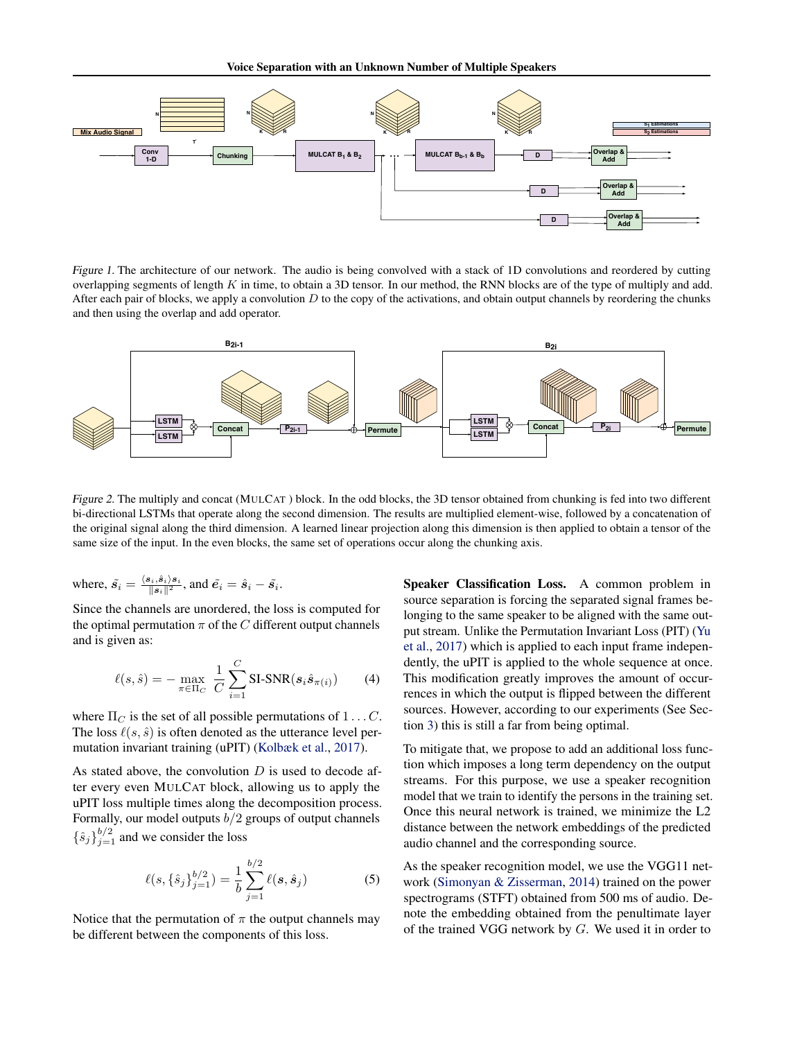<span id="page-2-0"></span>

Figure 1. The architecture of our network. The audio is being convolved with a stack of 1D convolutions and reordered by cutting overlapping segments of length  $K$  in time, to obtain a 3D tensor. In our method, the RNN blocks are of the type of multiply and add. After each pair of blocks, we apply a convolution  $D$  to the copy of the activations, and obtain output channels by reordering the chunks and then using the overlap and add operator.



Figure 2. The multiply and concat (MULCAT ) block. In the odd blocks, the 3D tensor obtained from chunking is fed into two different bi-directional LSTMs that operate along the second dimension. The results are multiplied element-wise, followed by a concatenation of the original signal along the third dimension. A learned linear projection along this dimension is then applied to obtain a tensor of the same size of the input. In the even blocks, the same set of operations occur along the chunking axis.

where, 
$$
\tilde{s}_i = \frac{\langle s_i, \hat{s}_i \rangle s_i}{\|s_i\|^2}
$$
, and  $\tilde{e}_i = \hat{s}_i - \tilde{s}_i$ .

Since the channels are unordered, the loss is computed for the optimal permutation  $\pi$  of the C different output channels and is given as:

$$
\ell(s,\hat{s}) = -\max_{\pi \in \Pi_C} \frac{1}{C} \sum_{i=1}^C \text{SI-SNR}(s_i \hat{s}_{\pi(i)}) \tag{4}
$$

where  $\Pi_C$  is the set of all possible permutations of  $1 \dots C$ . The loss  $\ell(s, \hat{s})$  is often denoted as the utterance level permutation invariant training (uPIT) [\(Kolbæk et al.,](#page-9-0) [2017\)](#page-9-0).

As stated above, the convolution  $D$  is used to decode after every even MULCAT block, allowing us to apply the uPIT loss multiple times along the decomposition process. Formally, our model outputs  $b/2$  groups of output channels  $\{\hat{s}_j\}_{j=1}^{b/2}$  and we consider the loss

$$
\ell(s, \{\hat{s}_j\}_{j=1}^{b/2}) = \frac{1}{b} \sum_{j=1}^{b/2} \ell(s, \hat{s}_j)
$$
 (5)

Notice that the permutation of  $\pi$  the output channels may be different between the components of this loss.

Speaker Classification Loss. A common problem in source separation is forcing the separated signal frames belonging to the same speaker to be aligned with the same output stream. Unlike the Permutation Invariant Loss (PIT) [\(Yu](#page-11-0) [et al.,](#page-11-0) [2017\)](#page-11-0) which is applied to each input frame independently, the uPIT is applied to the whole sequence at once. This modification greatly improves the amount of occurrences in which the output is flipped between the different sources. However, according to our experiments (See Section [3\)](#page-3-0) this is still a far from being optimal.

To mitigate that, we propose to add an additional loss function which imposes a long term dependency on the output streams. For this purpose, we use a speaker recognition model that we train to identify the persons in the training set. Once this neural network is trained, we minimize the L2 distance between the network embeddings of the predicted audio channel and the corresponding source.

As the speaker recognition model, we use the VGG11 network [\(Simonyan & Zisserman,](#page-10-0) [2014\)](#page-10-0) trained on the power spectrograms (STFT) obtained from 500 ms of audio. Denote the embedding obtained from the penultimate layer of the trained VGG network by G. We used it in order to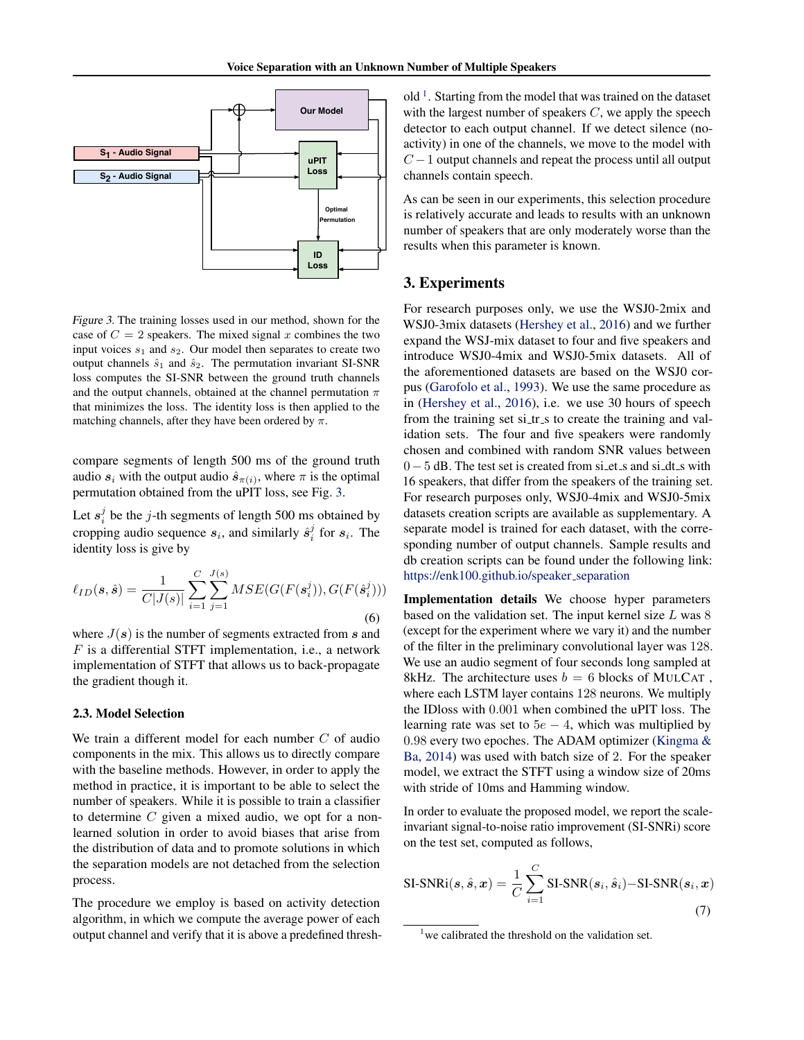<span id="page-3-0"></span>

Figure 3. The training losses used in our method, shown for the case of  $C = 2$  speakers. The mixed signal x combines the two input voices  $s_1$  and  $s_2$ . Our model then separates to create two output channels  $\hat{s}_1$  and  $\hat{s}_2$ . The permutation invariant SI-SNR loss computes the SI-SNR between the ground truth channels and the output channels, obtained at the channel permutation  $\pi$ that minimizes the loss. The identity loss is then applied to the matching channels, after they have been ordered by  $\pi$ .

compare segments of length 500 ms of the ground truth audio  $s_i$  with the output audio  $\hat{s}_{\pi(i)}$ , where  $\pi$  is the optimal permutation obtained from the uPIT loss, see Fig. 3.

Let  $s_i^j$  be the j-th segments of length 500 ms obtained by cropping audio sequence  $s_i$ , and similarly  $\hat{s}_i^j$  for  $s_i$ . The identity loss is give by

$$
\ell_{ID}(s,\hat{s}) = \frac{1}{C|J(s)|} \sum_{i=1}^{C} \sum_{j=1}^{J(s)} MSE(G(F(s_i^j)), G(F(\hat{s}_i^j)))
$$
\n(6)

where  $J(s)$  is the number of segments extracted from s and  $F$  is a differential STFT implementation, i.e., a network implementation of STFT that allows us to back-propagate the gradient though it.

#### 2.3. Model Selection

We train a different model for each number  $C$  of audio components in the mix. This allows us to directly compare with the baseline methods. However, in order to apply the method in practice, it is important to be able to select the number of speakers. While it is possible to train a classifier to determine  $C$  given a mixed audio, we opt for a nonlearned solution in order to avoid biases that arise from the distribution of data and to promote solutions in which the separation models are not detached from the selection process.

The procedure we employ is based on activity detection algorithm, in which we compute the average power of each output channel and verify that it is above a predefined thresh-

old<sup>1</sup>. Starting from the model that was trained on the dataset with the largest number of speakers  $C$ , we apply the speech detector to each output channel. If we detect silence (noactivity) in one of the channels, we move to the model with  $C-1$  output channels and repeat the process until all output channels contain speech.

As can be seen in our experiments, this selection procedure is relatively accurate and leads to results with an unknown number of speakers that are only moderately worse than the results when this parameter is known.

#### 3. Experiments

For research purposes only, we use the WSJ0-2mix and WSJ0-3mix datasets [\(Hershey et al.,](#page-9-0) [2016\)](#page-9-0) and we further expand the WSJ-mix dataset to four and five speakers and introduce WSJ0-4mix and WSJ0-5mix datasets. All of the aforementioned datasets are based on the WSJ0 corpus [\(Garofolo et al.,](#page-9-0) [1993\)](#page-9-0). We use the same procedure as in [\(Hershey et al.,](#page-9-0) [2016\)](#page-9-0), i.e. we use 30 hours of speech from the training set si\_tr\_s to create the training and validation sets. The four and five speakers were randomly chosen and combined with random SNR values between 0 − 5 dB. The test set is created from si\_et\_s and si\_dt\_s with 16 speakers, that differ from the speakers of the training set. For research purposes only, WSJ0-4mix and WSJ0-5mix datasets creation scripts are available as supplementary. A separate model is trained for each dataset, with the corresponding number of output channels. Sample results and db creation scripts can be found under the following link: [https://enk100.github.io/speaker](https://enk100.github.io/speaker_separation)\_separation

Implementation details We choose hyper parameters based on the validation set. The input kernel size  $L$  was  $8$ (except for the experiment where we vary it) and the number of the filter in the preliminary convolutional layer was 128. We use an audio segment of four seconds long sampled at 8kHz. The architecture uses  $b = 6$  blocks of MULCAT, where each LSTM layer contains 128 neurons. We multiply the IDloss with 0.001 when combined the uPIT loss. The learning rate was set to  $5e - 4$ , which was multiplied by 0.98 every two epoches. The ADAM optimizer [\(Kingma &](#page-9-0) [Ba,](#page-9-0) [2014\)](#page-9-0) was used with batch size of 2. For the speaker model, we extract the STFT using a window size of 20ms with stride of 10ms and Hamming window.

In order to evaluate the proposed model, we report the scaleinvariant signal-to-noise ratio improvement (SI-SNRi) score on the test set, computed as follows,

SI-SNRi
$$
(s, \hat{s}, x)
$$
 =  $\frac{1}{C} \sum_{i=1}^{C} \text{SI-SNR}(s_i, \hat{s}_i)$ –SI-SNR $(s_i, x)$  (7)

 $1$  we calibrated the threshold on the validation set.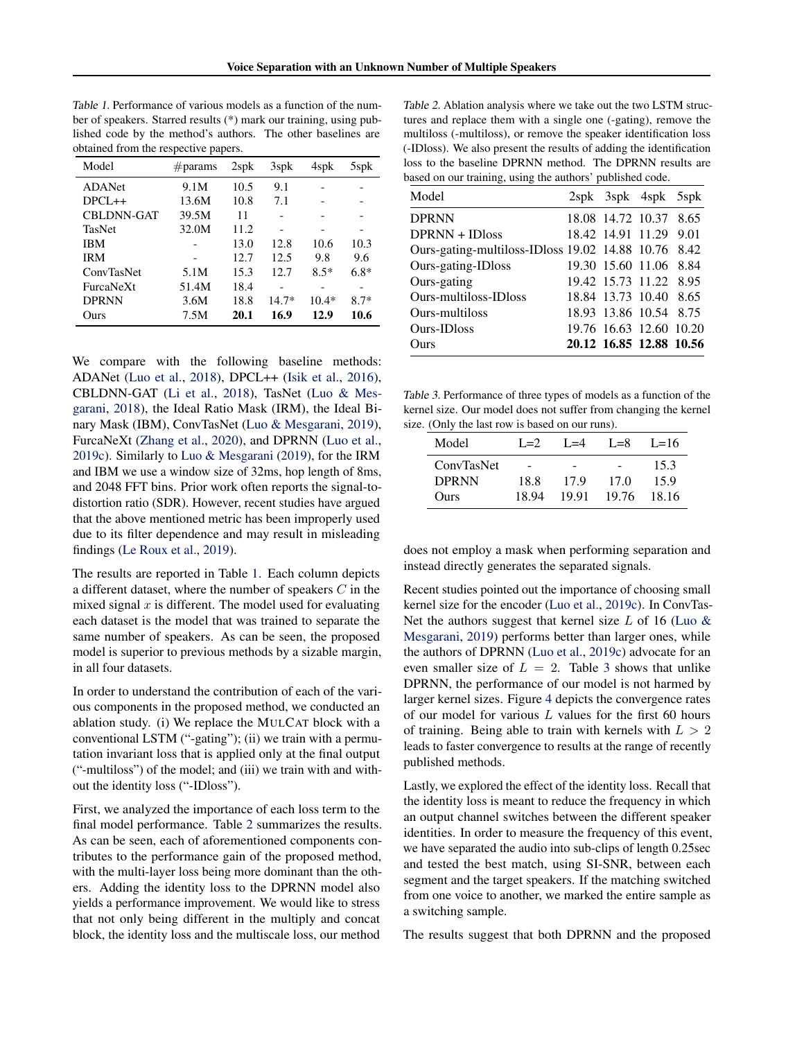Table 1. Performance of various models as a function of the number of speakers. Starred results (\*) mark our training, using published code by the method's authors. The other baselines are obtained from the respective papers.

| Model             | $\#$ params | $2$ sp $\bf{k}$ | 3spk    | 4spk    | 5spk   |
|-------------------|-------------|-----------------|---------|---------|--------|
| <b>ADANet</b>     | 9.1M        | 10.5            | 9.1     |         |        |
| $DPCL++$          | 13.6M       | 10.8            | 7.1     |         |        |
| <b>CBLDNN-GAT</b> | 39.5M       | 11              |         |         |        |
| <b>TasNet</b>     | 32.0M       | 11.2            |         |         | -      |
| IBM               |             | 13.0            | 12.8    | 10.6    | 10.3   |
| IRM               |             | 12.7            | 12.5    | 9.8     | 9.6    |
| <b>ConvTasNet</b> | 5.1M        | 15.3            | 12.7    | $8.5*$  | $6.8*$ |
| FurcaNeXt         | 51.4M       | 18.4            |         |         |        |
| <b>DPRNN</b>      | 3.6M        | 18.8            | $14.7*$ | $10.4*$ | $8.7*$ |
| Ours              | 7.5M        | 20.1            | 16.9    | 12.9    | 10.6   |

We compare with the following baseline methods: ADANet [\(Luo et al.,](#page-10-0) [2018\)](#page-10-0), DPCL++ [\(Isik et al.,](#page-9-0) [2016\)](#page-9-0), CBLDNN-GAT [\(Li et al.,](#page-9-0) [2018\)](#page-9-0), TasNet [\(Luo & Mes](#page-9-0)[garani,](#page-9-0) [2018\)](#page-9-0), the Ideal Ratio Mask (IRM), the Ideal Binary Mask (IBM), ConvTasNet [\(Luo & Mesgarani,](#page-10-0) [2019\)](#page-10-0), FurcaNeXt [\(Zhang et al.,](#page-11-0) [2020\)](#page-11-0), and DPRNN [\(Luo et al.,](#page-10-0) [2019c\)](#page-10-0). Similarly to [Luo & Mesgarani](#page-10-0) [\(2019\)](#page-10-0), for the IRM and IBM we use a window size of 32ms, hop length of 8ms, and 2048 FFT bins. Prior work often reports the signal-todistortion ratio (SDR). However, recent studies have argued that the above mentioned metric has been improperly used due to its filter dependence and may result in misleading findings [\(Le Roux et al.,](#page-9-0) [2019\)](#page-9-0).

The results are reported in Table 1. Each column depicts a different dataset, where the number of speakers C in the mixed signal  $x$  is different. The model used for evaluating each dataset is the model that was trained to separate the same number of speakers. As can be seen, the proposed model is superior to previous methods by a sizable margin, in all four datasets.

In order to understand the contribution of each of the various components in the proposed method, we conducted an ablation study. (i) We replace the MULCAT block with a conventional LSTM ("-gating"); (ii) we train with a permutation invariant loss that is applied only at the final output ("-multiloss") of the model; and (iii) we train with and without the identity loss ("-IDloss").

First, we analyzed the importance of each loss term to the final model performance. Table 2 summarizes the results. As can be seen, each of aforementioned components contributes to the performance gain of the proposed method, with the multi-layer loss being more dominant than the others. Adding the identity loss to the DPRNN model also yields a performance improvement. We would like to stress that not only being different in the multiply and concat block, the identity loss and the multiscale loss, our method

Table 2. Ablation analysis where we take out the two LSTM structures and replace them with a single one (-gating), remove the multiloss (-multiloss), or remove the speaker identification loss (-IDloss). We also present the results of adding the identification loss to the baseline DPRNN method. The DPRNN results are based on our training, using the authors' published code.

| Model                                               | 2spk 3spk 4spk 5spk     |  |
|-----------------------------------------------------|-------------------------|--|
| <b>DPRNN</b>                                        | 18.08 14.72 10.37 8.65  |  |
| DPRNN + IDloss                                      | 18.42 14.91 11.29 9.01  |  |
| Ours-gating-multiloss-IDloss 19.02 14.88 10.76 8.42 |                         |  |
| Ours-gating-IDloss                                  | 19.30 15.60 11.06 8.84  |  |
| Ours-gating                                         | 19.42 15.73 11.22 8.95  |  |
| Ours-multiloss-IDloss                               | 18.84 13.73 10.40 8.65  |  |
| Ours-multiloss                                      | 18.93 13.86 10.54 8.75  |  |
| Ours-IDloss                                         | 19.76 16.63 12.60 10.20 |  |
| Ours                                                | 20.12 16.85 12.88 10.56 |  |

Table 3. Performance of three types of models as a function of the kernel size. Our model does not suffer from changing the kernel size. (Only the last row is based on our runs).

| Model        | $I = 2$ | $L=4$ | $I = 8$ | $L=16$ |  |  |  |  |  |
|--------------|---------|-------|---------|--------|--|--|--|--|--|
| ConvTasNet   |         |       |         | 15.3   |  |  |  |  |  |
| <b>DPRNN</b> | 18.8    | 17.9  | 17.0    | 15.9   |  |  |  |  |  |
| Ours         | 18.94   | 19.91 | 19.76   | 18.16  |  |  |  |  |  |

does not employ a mask when performing separation and instead directly generates the separated signals.

Recent studies pointed out the importance of choosing small kernel size for the encoder [\(Luo et al.,](#page-10-0) [2019c\)](#page-10-0). In ConvTas-Net the authors suggest that kernel size  $L$  of 16 (Luo  $\&$ [Mesgarani,](#page-10-0) [2019\)](#page-10-0) performs better than larger ones, while the authors of DPRNN [\(Luo et al.,](#page-10-0) [2019c\)](#page-10-0) advocate for an even smaller size of  $L = 2$ . Table 3 shows that unlike DPRNN, the performance of our model is not harmed by larger kernel sizes. Figure [4](#page-5-0) depicts the convergence rates of our model for various  $L$  values for the first 60 hours of training. Being able to train with kernels with  $L > 2$ leads to faster convergence to results at the range of recently published methods.

Lastly, we explored the effect of the identity loss. Recall that the identity loss is meant to reduce the frequency in which an output channel switches between the different speaker identities. In order to measure the frequency of this event, we have separated the audio into sub-clips of length 0.25sec and tested the best match, using SI-SNR, between each segment and the target speakers. If the matching switched from one voice to another, we marked the entire sample as a switching sample.

The results suggest that both DPRNN and the proposed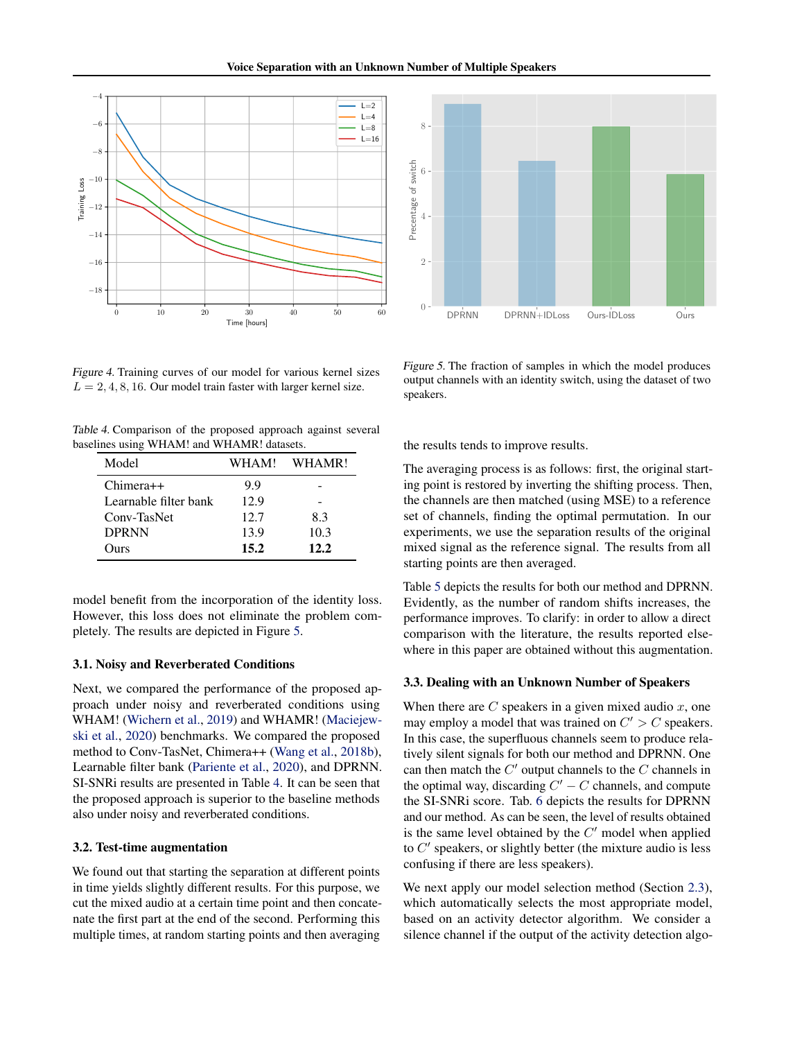<span id="page-5-0"></span>

Figure 4. Training curves of our model for various kernel sizes  $L = 2, 4, 8, 16$ . Our model train faster with larger kernel size.

| Table 4. Comparison of the proposed approach against several |  |  |  |
|--------------------------------------------------------------|--|--|--|
| baselines using WHAM! and WHAMR! datasets.                   |  |  |  |

| Model                 | WHAM! | WHAMR! |
|-----------------------|-------|--------|
| $Chimera++$           | 9.9   |        |
| Learnable filter bank | 12.9  |        |
| Conv-TasNet           | 12.7  | 83     |
| <b>DPRNN</b>          | 13.9  | 10.3   |
| <b>Durs</b>           | 15.2  | 12.2   |

model benefit from the incorporation of the identity loss. However, this loss does not eliminate the problem completely. The results are depicted in Figure 5.

#### 3.1. Noisy and Reverberated Conditions

Next, we compared the performance of the proposed approach under noisy and reverberated conditions using WHAM! [\(Wichern et al.,](#page-11-0) [2019\)](#page-11-0) and WHAMR! [\(Maciejew](#page-10-0)[ski et al.,](#page-10-0) [2020\)](#page-10-0) benchmarks. We compared the proposed method to Conv-TasNet, Chimera++ [\(Wang et al.,](#page-10-0) [2018b\)](#page-10-0), Learnable filter bank [\(Pariente et al.,](#page-10-0) [2020\)](#page-10-0), and DPRNN. SI-SNRi results are presented in Table 4. It can be seen that the proposed approach is superior to the baseline methods also under noisy and reverberated conditions.

#### 3.2. Test-time augmentation

We found out that starting the separation at different points in time yields slightly different results. For this purpose, we cut the mixed audio at a certain time point and then concatenate the first part at the end of the second. Performing this multiple times, at random starting points and then averaging



Figure 5. The fraction of samples in which the model produces output channels with an identity switch, using the dataset of two speakers.

the results tends to improve results.

The averaging process is as follows: first, the original starting point is restored by inverting the shifting process. Then, the channels are then matched (using MSE) to a reference set of channels, finding the optimal permutation. In our experiments, we use the separation results of the original mixed signal as the reference signal. The results from all starting points are then averaged.

Table [5](#page-6-0) depicts the results for both our method and DPRNN. Evidently, as the number of random shifts increases, the performance improves. To clarify: in order to allow a direct comparison with the literature, the results reported elsewhere in this paper are obtained without this augmentation.

#### 3.3. Dealing with an Unknown Number of Speakers

When there are  $C$  speakers in a given mixed audio  $x$ , one may employ a model that was trained on  $C' > C$  speakers. In this case, the superfluous channels seem to produce relatively silent signals for both our method and DPRNN. One can then match the  $C'$  output channels to the  $C$  channels in the optimal way, discarding  $C' - C$  channels, and compute the SI-SNRi score. Tab. [6](#page-6-0) depicts the results for DPRNN and our method. As can be seen, the level of results obtained is the same level obtained by the  $C'$  model when applied to  $C'$  speakers, or slightly better (the mixture audio is less confusing if there are less speakers).

We next apply our model selection method (Section [2.3\)](#page-3-0), which automatically selects the most appropriate model, based on an activity detector algorithm. We consider a silence channel if the output of the activity detection algo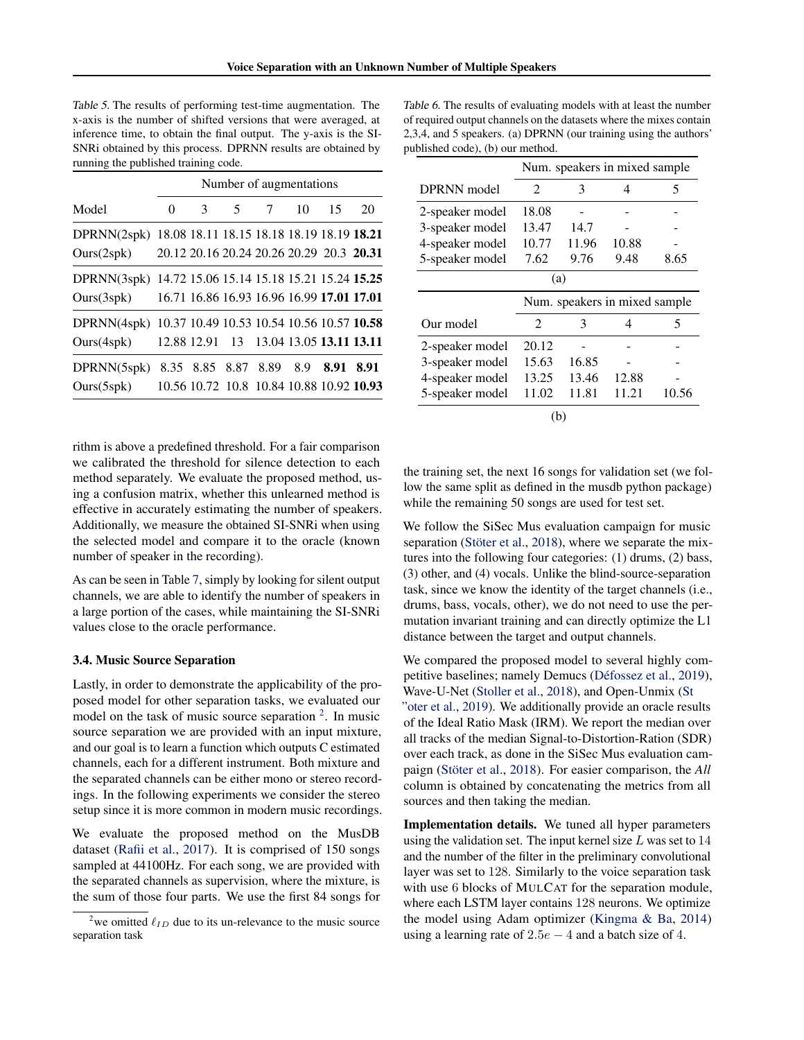<span id="page-6-0"></span>Table 5. The results of performing test-time augmentation. The x-axis is the number of shifted versions that were averaged, at inference time, to obtain the final output. The y-axis is the SI-SNRi obtained by this process. DPRNN results are obtained by running the published training code.

|                  |          | Number of augmentations |                                           |                 |     |      |      |  |  |  |
|------------------|----------|-------------------------|-------------------------------------------|-----------------|-----|------|------|--|--|--|
| Model            | $\theta$ | 3                       | 5                                         | $7\phantom{.0}$ | 10  | 15   | 20   |  |  |  |
| DPRNN(2spk)      |          |                         | 18.08 18.11 18.15 18.18 18.19 18.19 18.21 |                 |     |      |      |  |  |  |
| Ours(2spk)       |          |                         | 20.12 20.16 20.24 20.26 20.29 20.3 20.31  |                 |     |      |      |  |  |  |
| DPRNN(3spk)      |          |                         | 14.72 15.06 15.14 15.18 15.21 15.24 15.25 |                 |     |      |      |  |  |  |
| Ours(3spk)       |          |                         | 16.71 16.86 16.93 16.96 16.99 17.01 17.01 |                 |     |      |      |  |  |  |
| DPRNN(4spk)      |          |                         | 10.37 10.49 10.53 10.54 10.56 10.57 10.58 |                 |     |      |      |  |  |  |
| Ours(4spk)       |          |                         | 12.88 12.91 13 13.04 13.05 13.11 13.11    |                 |     |      |      |  |  |  |
| DPRNN(5spk)      | 8.35     |                         | 8.85 8.87 8.89                            |                 | 8.9 | 8.91 | 8.91 |  |  |  |
| $Ours(5$ spk $)$ |          |                         | 10.56 10.72 10.8 10.84 10.88 10.92 10.93  |                 |     |      |      |  |  |  |

rithm is above a predefined threshold. For a fair comparison we calibrated the threshold for silence detection to each method separately. We evaluate the proposed method, using a confusion matrix, whether this unlearned method is effective in accurately estimating the number of speakers. Additionally, we measure the obtained SI-SNRi when using the selected model and compare it to the oracle (known number of speaker in the recording).

As can be seen in Table [7,](#page-7-0) simply by looking for silent output channels, we are able to identify the number of speakers in a large portion of the cases, while maintaining the SI-SNRi values close to the oracle performance.

#### 3.4. Music Source Separation

Lastly, in order to demonstrate the applicability of the proposed model for other separation tasks, we evaluated our model on the task of music source separation  $2$ . In music source separation we are provided with an input mixture, and our goal is to learn a function which outputs C estimated channels, each for a different instrument. Both mixture and the separated channels can be either mono or stereo recordings. In the following experiments we consider the stereo setup since it is more common in modern music recordings.

We evaluate the proposed method on the MusDB dataset [\(Rafii et al.,](#page-10-0) [2017\)](#page-10-0). It is comprised of 150 songs sampled at 44100Hz. For each song, we are provided with the separated channels as supervision, where the mixture, is the sum of those four parts. We use the first 84 songs for

Table 6. The results of evaluating models with at least the number of required output channels on the datasets where the mixes contain 2,3,4, and 5 speakers. (a) DPRNN (our training using the authors' published code), (b) our method.

|                               | Num. speakers in mixed sample. |       |       |       |  |  |  |  |
|-------------------------------|--------------------------------|-------|-------|-------|--|--|--|--|
| <b>DPRNN</b> model            | $\mathfrak{D}$                 | 3     | 4     | 5     |  |  |  |  |
| 2-speaker model               | 18.08                          |       |       |       |  |  |  |  |
| 3-speaker model               | 13.47                          | 14.7  |       |       |  |  |  |  |
| 4-speaker model               | 10.77                          | 11.96 | 10.88 |       |  |  |  |  |
| 5-speaker model               | 7.62                           | 9.76  | 9.48  | 8.65  |  |  |  |  |
| (a)                           |                                |       |       |       |  |  |  |  |
| Num. speakers in mixed sample |                                |       |       |       |  |  |  |  |
|                               |                                |       |       |       |  |  |  |  |
| Our model                     | $\mathfrak{D}$                 | 3     | 4     | 5     |  |  |  |  |
| 2-speaker model               | 20.12                          |       |       |       |  |  |  |  |
| 3-speaker model               | 15.63                          | 16.85 |       |       |  |  |  |  |
| 4-speaker model               | 13.25                          | 13.46 | 12.88 |       |  |  |  |  |
| 5-speaker model               | 11.02                          | 11.81 | 11.21 | 10.56 |  |  |  |  |

the training set, the next 16 songs for validation set (we follow the same split as defined in the musdb python package) while the remaining 50 songs are used for test set.

We follow the SiSec Mus evaluation campaign for music separation (Stöter et al., [2018\)](#page-10-0), where we separate the mixtures into the following four categories: (1) drums, (2) bass, (3) other, and (4) vocals. Unlike the blind-source-separation task, since we know the identity of the target channels (i.e., drums, bass, vocals, other), we do not need to use the permutation invariant training and can directly optimize the L1 distance between the target and output channels.

We compared the proposed model to several highly com-petitive baselines; namely Demucs (Défossez et al., [2019\)](#page-9-0), Wave-U-Net [\(Stoller et al.,](#page-10-0) [2018\)](#page-10-0), and Open-Unmix [\(St](#page-10-0) ["oter et al.,](#page-10-0) [2019\)](#page-10-0). We additionally provide an oracle results of the Ideal Ratio Mask (IRM). We report the median over all tracks of the median Signal-to-Distortion-Ration (SDR) over each track, as done in the SiSec Mus evaluation cam-paign (Stöter et al., [2018\)](#page-10-0). For easier comparison, the *All* column is obtained by concatenating the metrics from all sources and then taking the median.

Implementation details. We tuned all hyper parameters using the validation set. The input kernel size  $L$  was set to  $14$ and the number of the filter in the preliminary convolutional layer was set to 128. Similarly to the voice separation task with use 6 blocks of MULCAT for the separation module, where each LSTM layer contains 128 neurons. We optimize the model using Adam optimizer [\(Kingma & Ba,](#page-9-0) [2014\)](#page-9-0) using a learning rate of  $2.5e - 4$  and a batch size of 4.

<sup>&</sup>lt;sup>2</sup>we omitted  $\ell_{ID}$  due to its un-relevance to the music source separation task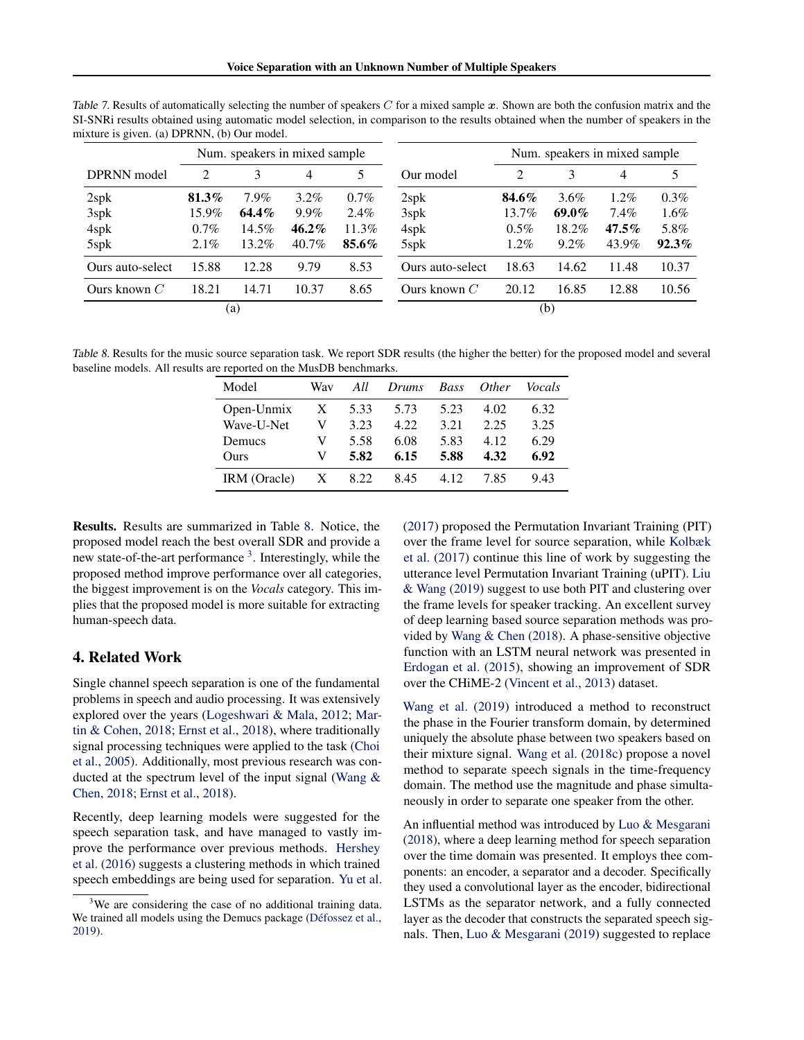|                  | Num. speakers in mixed sample |         |          |         |                  |          |          |          |          | Num. speakers in mixed sample |  |  |  |  |
|------------------|-------------------------------|---------|----------|---------|------------------|----------|----------|----------|----------|-------------------------------|--|--|--|--|
| DPRNN model      | 2                             | 3       | 4        | 5       | Our model        | 2        | 3        | 4        | 5        |                               |  |  |  |  |
| 2spk             | $81.3\%$                      | $7.9\%$ | $3.2\%$  | $0.7\%$ | $2$ sp $k$       | 84.6%    | $3.6\%$  | $1.2\%$  | $0.3\%$  |                               |  |  |  |  |
| 3spk             | $15.9\%$                      | 64.4%   | 9.9%     | $2.4\%$ | 3spk             | $13.7\%$ | $69.0\%$ | 7.4%     | $1.6\%$  |                               |  |  |  |  |
| 4spk             | $0.7\%$                       | 14.5%   | $46.2\%$ | 11.3%   | 4spk             | $0.5\%$  | 18.2%    | $47.5\%$ | 5.8%     |                               |  |  |  |  |
| 5spk             | $2.1\%$                       | 13.2%   | 40.7%    | 85.6%   | 5spk             | $1.2\%$  | $9.2\%$  | 43.9%    | $92.3\%$ |                               |  |  |  |  |
| Ours auto-select | 15.88                         | 12.28   | 9.79     | 8.53    | Ours auto-select | 18.63    | 14.62    | 11.48    | 10.37    |                               |  |  |  |  |
| Ours known $C$   | 18.21                         | 14.71   | 10.37    | 8.65    | Ours known $C$   | 20.12    | 16.85    | 12.88    | 10.56    |                               |  |  |  |  |
| (a)              |                               |         |          |         |                  |          | (b)      |          |          |                               |  |  |  |  |

<span id="page-7-0"></span>Table 7. Results of automatically selecting the number of speakers  $C$  for a mixed sample  $x$ . Shown are both the confusion matrix and the SI-SNRi results obtained using automatic model selection, in comparison to the results obtained when the number of speakers in the mixture is given. (a) DPRNN, (b) Our model.

Table 8. Results for the music source separation task. We report SDR results (the higher the better) for the proposed model and several baseline models. All results are reported on the MusDB benchmarks.

| Model        | Wav | All  | Drums | <b>Bass</b> | Other | <i>Vocals</i> |
|--------------|-----|------|-------|-------------|-------|---------------|
| Open-Unmix   | X   | 5.33 | 5.73  | 5.23        | 4.02  | 6.32          |
| Wave-U-Net   | V   | 3.23 | 4.22  | 3.21        | 2.25  | 3.25          |
| Demucs       | V   | 5.58 | 6.08  | 5.83        | 4.12  | 6.29          |
| Ours         | V   | 5.82 | 6.15  | 5.88        | 4.32  | 6.92          |
| IRM (Oracle) | X   | 8.22 | 8.45  | 4.12        | 7.85  | 9.43          |

Results. Results are summarized in Table 8. Notice, the proposed model reach the best overall SDR and provide a new state-of-the-art performance<sup>3</sup>. Interestingly, while the proposed method improve performance over all categories, the biggest improvement is on the *Vocals* category. This implies that the proposed model is more suitable for extracting human-speech data.

# 4. Related Work

Single channel speech separation is one of the fundamental problems in speech and audio processing. It was extensively explored over the years [\(Logeshwari & Mala,](#page-9-0) [2012;](#page-9-0) [Mar](#page-10-0)[tin & Cohen,](#page-10-0) [2018;](#page-10-0) [Ernst et al.,](#page-9-0) [2018\)](#page-9-0), where traditionally signal processing techniques were applied to the task [\(Choi](#page-9-0) [et al.,](#page-9-0) [2005\)](#page-9-0). Additionally, most previous research was conducted at the spectrum level of the input signal [\(Wang &](#page-10-0) [Chen,](#page-10-0) [2018;](#page-10-0) [Ernst et al.,](#page-9-0) [2018\)](#page-9-0).

Recently, deep learning models were suggested for the speech separation task, and have managed to vastly improve the performance over previous methods. [Hershey](#page-9-0) [et al.](#page-9-0) [\(2016\)](#page-9-0) suggests a clustering methods in which trained speech embeddings are being used for separation. [Yu et al.](#page-11-0) [\(2017\)](#page-11-0) proposed the Permutation Invariant Training (PIT) over the frame level for source separation, while [Kolbæk](#page-9-0) [et al.](#page-9-0) [\(2017\)](#page-9-0) continue this line of work by suggesting the utterance level Permutation Invariant Training (uPIT). [Liu](#page-9-0) [& Wang](#page-9-0) [\(2019\)](#page-9-0) suggest to use both PIT and clustering over the frame levels for speaker tracking. An excellent survey of deep learning based source separation methods was provided by [Wang & Chen](#page-10-0) [\(2018\)](#page-10-0). A phase-sensitive objective function with an LSTM neural network was presented in [Erdogan et al.](#page-9-0) [\(2015\)](#page-9-0), showing an improvement of SDR over the CHiME-2 [\(Vincent et al.,](#page-10-0) [2013\)](#page-10-0) dataset.

[Wang et al.](#page-10-0) [\(2019\)](#page-10-0) introduced a method to reconstruct the phase in the Fourier transform domain, by determined uniquely the absolute phase between two speakers based on their mixture signal. [Wang et al.](#page-10-0) [\(2018c\)](#page-10-0) propose a novel method to separate speech signals in the time-frequency domain. The method use the magnitude and phase simultaneously in order to separate one speaker from the other.

An influential method was introduced by [Luo & Mesgarani](#page-9-0) [\(2018\)](#page-9-0), where a deep learning method for speech separation over the time domain was presented. It employs thee components: an encoder, a separator and a decoder. Specifically they used a convolutional layer as the encoder, bidirectional LSTMs as the separator network, and a fully connected layer as the decoder that constructs the separated speech signals. Then, [Luo & Mesgarani](#page-10-0) [\(2019\)](#page-10-0) suggested to replace

<sup>&</sup>lt;sup>3</sup>We are considering the case of no additional training data. We trained all models using the Demucs package (Défossez et al., [2019\)](#page-9-0).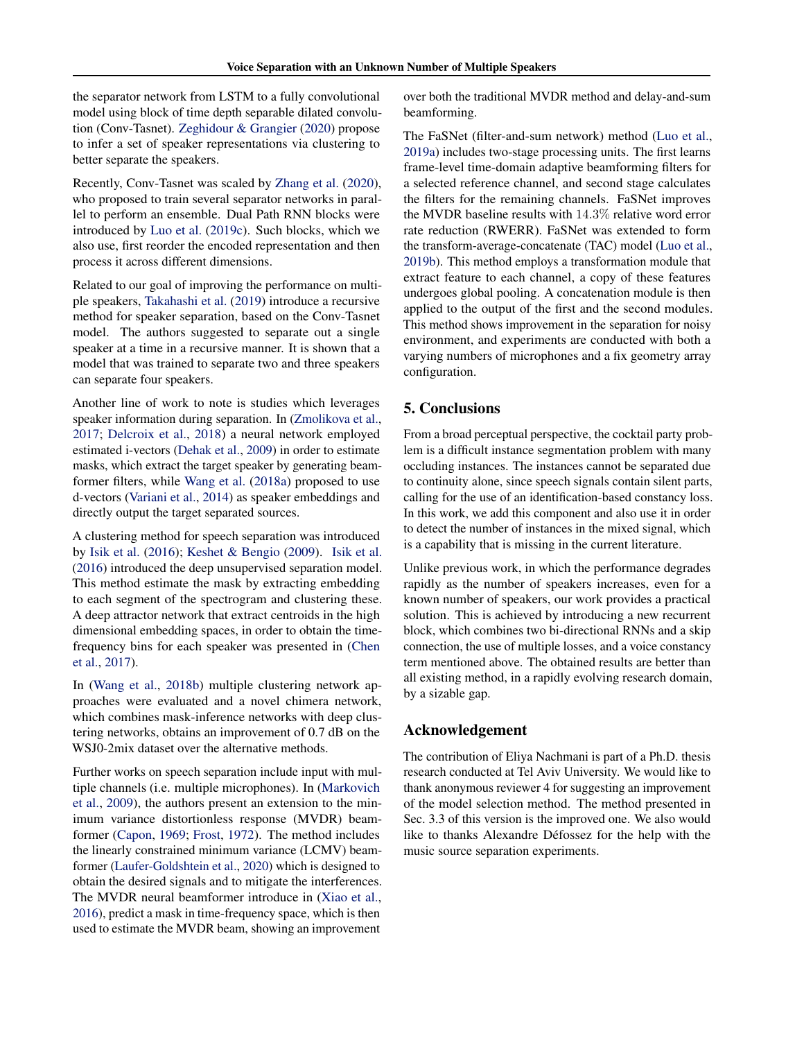the separator network from LSTM to a fully convolutional model using block of time depth separable dilated convolution (Conv-Tasnet). [Zeghidour & Grangier](#page-11-0) [\(2020\)](#page-11-0) propose to infer a set of speaker representations via clustering to better separate the speakers.

Recently, Conv-Tasnet was scaled by [Zhang et al.](#page-11-0) [\(2020\)](#page-11-0), who proposed to train several separator networks in parallel to perform an ensemble. Dual Path RNN blocks were introduced by [Luo et al.](#page-10-0) [\(2019c\)](#page-10-0). Such blocks, which we also use, first reorder the encoded representation and then process it across different dimensions.

Related to our goal of improving the performance on multiple speakers, [Takahashi et al.](#page-10-0) [\(2019\)](#page-10-0) introduce a recursive method for speaker separation, based on the Conv-Tasnet model. The authors suggested to separate out a single speaker at a time in a recursive manner. It is shown that a model that was trained to separate two and three speakers can separate four speakers.

Another line of work to note is studies which leverages speaker information during separation. In [\(Zmolikova et al.,](#page-11-0) [2017;](#page-11-0) [Delcroix et al.,](#page-9-0) [2018\)](#page-9-0) a neural network employed estimated i-vectors [\(Dehak et al.,](#page-9-0) [2009\)](#page-9-0) in order to estimate masks, which extract the target speaker by generating beamformer filters, while [Wang et al.](#page-10-0) [\(2018a\)](#page-10-0) proposed to use d-vectors [\(Variani et al.,](#page-10-0) [2014\)](#page-10-0) as speaker embeddings and directly output the target separated sources.

A clustering method for speech separation was introduced by [Isik et al.](#page-9-0) [\(2016\)](#page-9-0); [Keshet & Bengio](#page-9-0) [\(2009\)](#page-9-0). [Isik et al.](#page-9-0) [\(2016\)](#page-9-0) introduced the deep unsupervised separation model. This method estimate the mask by extracting embedding to each segment of the spectrogram and clustering these. A deep attractor network that extract centroids in the high dimensional embedding spaces, in order to obtain the timefrequency bins for each speaker was presented in [\(Chen](#page-9-0) [et al.,](#page-9-0) [2017\)](#page-9-0).

In [\(Wang et al.,](#page-10-0) [2018b\)](#page-10-0) multiple clustering network approaches were evaluated and a novel chimera network, which combines mask-inference networks with deep clustering networks, obtains an improvement of 0.7 dB on the WSJ0-2mix dataset over the alternative methods.

Further works on speech separation include input with multiple channels (i.e. multiple microphones). In [\(Markovich](#page-10-0) [et al.,](#page-10-0) [2009\)](#page-10-0), the authors present an extension to the minimum variance distortionless response (MVDR) beamformer [\(Capon,](#page-9-0) [1969;](#page-9-0) [Frost,](#page-9-0) [1972\)](#page-9-0). The method includes the linearly constrained minimum variance (LCMV) beamformer [\(Laufer-Goldshtein et al.,](#page-9-0) [2020\)](#page-9-0) which is designed to obtain the desired signals and to mitigate the interferences. The MVDR neural beamformer introduce in [\(Xiao et al.,](#page-11-0) [2016\)](#page-11-0), predict a mask in time-frequency space, which is then used to estimate the MVDR beam, showing an improvement

over both the traditional MVDR method and delay-and-sum beamforming.

The FaSNet (filter-and-sum network) method [\(Luo et al.,](#page-10-0) [2019a\)](#page-10-0) includes two-stage processing units. The first learns frame-level time-domain adaptive beamforming filters for a selected reference channel, and second stage calculates the filters for the remaining channels. FaSNet improves the MVDR baseline results with 14.3% relative word error rate reduction (RWERR). FaSNet was extended to form the transform-average-concatenate (TAC) model [\(Luo et al.,](#page-10-0) [2019b\)](#page-10-0). This method employs a transformation module that extract feature to each channel, a copy of these features undergoes global pooling. A concatenation module is then applied to the output of the first and the second modules. This method shows improvement in the separation for noisy environment, and experiments are conducted with both a varying numbers of microphones and a fix geometry array configuration.

### 5. Conclusions

From a broad perceptual perspective, the cocktail party problem is a difficult instance segmentation problem with many occluding instances. The instances cannot be separated due to continuity alone, since speech signals contain silent parts, calling for the use of an identification-based constancy loss. In this work, we add this component and also use it in order to detect the number of instances in the mixed signal, which is a capability that is missing in the current literature.

Unlike previous work, in which the performance degrades rapidly as the number of speakers increases, even for a known number of speakers, our work provides a practical solution. This is achieved by introducing a new recurrent block, which combines two bi-directional RNNs and a skip connection, the use of multiple losses, and a voice constancy term mentioned above. The obtained results are better than all existing method, in a rapidly evolving research domain, by a sizable gap.

### Acknowledgement

The contribution of Eliya Nachmani is part of a Ph.D. thesis research conducted at Tel Aviv University. We would like to thank anonymous reviewer 4 for suggesting an improvement of the model selection method. The method presented in Sec. 3.3 of this version is the improved one. We also would like to thanks Alexandre Défossez for the help with the music source separation experiments.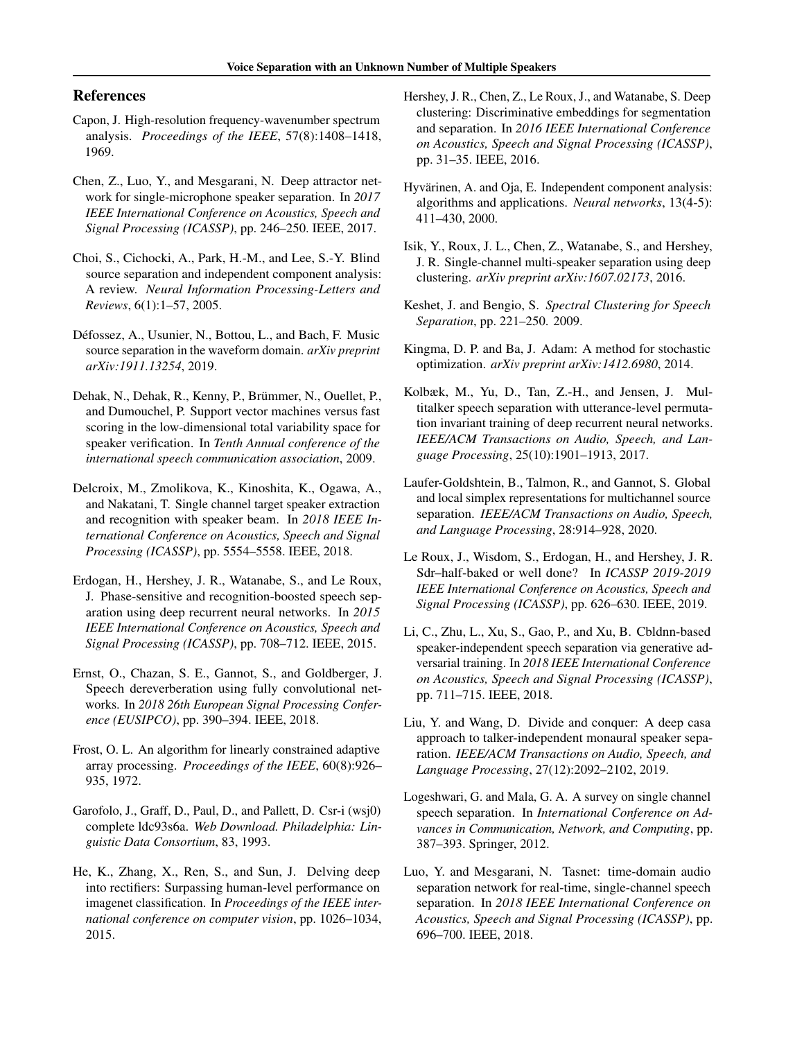## <span id="page-9-0"></span>References

- Capon, J. High-resolution frequency-wavenumber spectrum analysis. *Proceedings of the IEEE*, 57(8):1408–1418, 1969.
- Chen, Z., Luo, Y., and Mesgarani, N. Deep attractor network for single-microphone speaker separation. In *2017 IEEE International Conference on Acoustics, Speech and Signal Processing (ICASSP)*, pp. 246–250. IEEE, 2017.
- Choi, S., Cichocki, A., Park, H.-M., and Lee, S.-Y. Blind source separation and independent component analysis: A review. *Neural Information Processing-Letters and Reviews*, 6(1):1–57, 2005.
- Défossez, A., Usunier, N., Bottou, L., and Bach, F. Music source separation in the waveform domain. *arXiv preprint arXiv:1911.13254*, 2019.
- Dehak, N., Dehak, R., Kenny, P., Brümmer, N., Ouellet, P., and Dumouchel, P. Support vector machines versus fast scoring in the low-dimensional total variability space for speaker verification. In *Tenth Annual conference of the international speech communication association*, 2009.
- Delcroix, M., Zmolikova, K., Kinoshita, K., Ogawa, A., and Nakatani, T. Single channel target speaker extraction and recognition with speaker beam. In *2018 IEEE International Conference on Acoustics, Speech and Signal Processing (ICASSP)*, pp. 5554–5558. IEEE, 2018.
- Erdogan, H., Hershey, J. R., Watanabe, S., and Le Roux, J. Phase-sensitive and recognition-boosted speech separation using deep recurrent neural networks. In *2015 IEEE International Conference on Acoustics, Speech and Signal Processing (ICASSP)*, pp. 708–712. IEEE, 2015.
- Ernst, O., Chazan, S. E., Gannot, S., and Goldberger, J. Speech dereverberation using fully convolutional networks. In *2018 26th European Signal Processing Conference (EUSIPCO)*, pp. 390–394. IEEE, 2018.
- Frost, O. L. An algorithm for linearly constrained adaptive array processing. *Proceedings of the IEEE*, 60(8):926– 935, 1972.
- Garofolo, J., Graff, D., Paul, D., and Pallett, D. Csr-i (wsj0) complete ldc93s6a. *Web Download. Philadelphia: Linguistic Data Consortium*, 83, 1993.
- He, K., Zhang, X., Ren, S., and Sun, J. Delving deep into rectifiers: Surpassing human-level performance on imagenet classification. In *Proceedings of the IEEE international conference on computer vision*, pp. 1026–1034, 2015.
- Hershey, J. R., Chen, Z., Le Roux, J., and Watanabe, S. Deep clustering: Discriminative embeddings for segmentation and separation. In *2016 IEEE International Conference on Acoustics, Speech and Signal Processing (ICASSP)*, pp. 31–35. IEEE, 2016.
- Hyvärinen, A. and Oja, E. Independent component analysis: algorithms and applications. *Neural networks*, 13(4-5): 411–430, 2000.
- Isik, Y., Roux, J. L., Chen, Z., Watanabe, S., and Hershey, J. R. Single-channel multi-speaker separation using deep clustering. *arXiv preprint arXiv:1607.02173*, 2016.
- Keshet, J. and Bengio, S. *Spectral Clustering for Speech Separation*, pp. 221–250. 2009.
- Kingma, D. P. and Ba, J. Adam: A method for stochastic optimization. *arXiv preprint arXiv:1412.6980*, 2014.
- Kolbæk, M., Yu, D., Tan, Z.-H., and Jensen, J. Multitalker speech separation with utterance-level permutation invariant training of deep recurrent neural networks. *IEEE/ACM Transactions on Audio, Speech, and Language Processing*, 25(10):1901–1913, 2017.
- Laufer-Goldshtein, B., Talmon, R., and Gannot, S. Global and local simplex representations for multichannel source separation. *IEEE/ACM Transactions on Audio, Speech, and Language Processing*, 28:914–928, 2020.
- Le Roux, J., Wisdom, S., Erdogan, H., and Hershey, J. R. Sdr–half-baked or well done? In *ICASSP 2019-2019 IEEE International Conference on Acoustics, Speech and Signal Processing (ICASSP)*, pp. 626–630. IEEE, 2019.
- Li, C., Zhu, L., Xu, S., Gao, P., and Xu, B. Cbldnn-based speaker-independent speech separation via generative adversarial training. In *2018 IEEE International Conference on Acoustics, Speech and Signal Processing (ICASSP)*, pp. 711–715. IEEE, 2018.
- Liu, Y. and Wang, D. Divide and conquer: A deep casa approach to talker-independent monaural speaker separation. *IEEE/ACM Transactions on Audio, Speech, and Language Processing*, 27(12):2092–2102, 2019.
- Logeshwari, G. and Mala, G. A. A survey on single channel speech separation. In *International Conference on Advances in Communication, Network, and Computing*, pp. 387–393. Springer, 2012.
- Luo, Y. and Mesgarani, N. Tasnet: time-domain audio separation network for real-time, single-channel speech separation. In *2018 IEEE International Conference on Acoustics, Speech and Signal Processing (ICASSP)*, pp. 696–700. IEEE, 2018.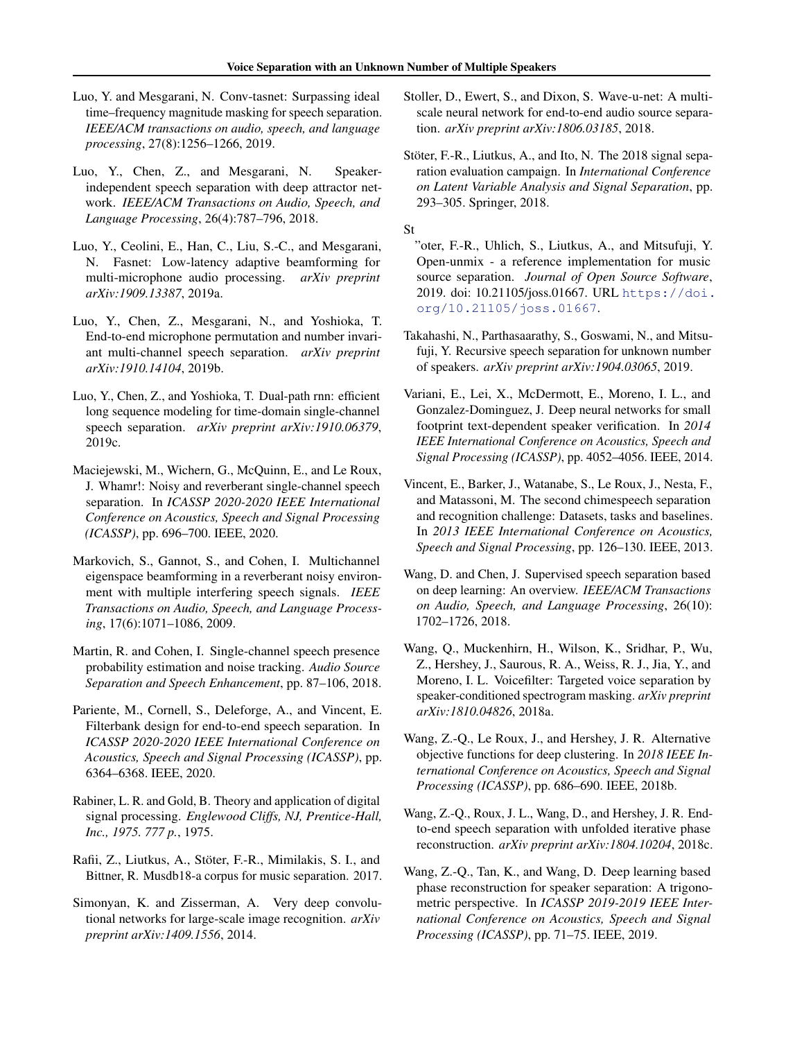- <span id="page-10-0"></span>Luo, Y. and Mesgarani, N. Conv-tasnet: Surpassing ideal time–frequency magnitude masking for speech separation. *IEEE/ACM transactions on audio, speech, and language processing*, 27(8):1256–1266, 2019.
- Luo, Y., Chen, Z., and Mesgarani, N. Speakerindependent speech separation with deep attractor network. *IEEE/ACM Transactions on Audio, Speech, and Language Processing*, 26(4):787–796, 2018.
- Luo, Y., Ceolini, E., Han, C., Liu, S.-C., and Mesgarani, N. Fasnet: Low-latency adaptive beamforming for multi-microphone audio processing. *arXiv preprint arXiv:1909.13387*, 2019a.
- Luo, Y., Chen, Z., Mesgarani, N., and Yoshioka, T. End-to-end microphone permutation and number invariant multi-channel speech separation. *arXiv preprint arXiv:1910.14104*, 2019b.
- Luo, Y., Chen, Z., and Yoshioka, T. Dual-path rnn: efficient long sequence modeling for time-domain single-channel speech separation. *arXiv preprint arXiv:1910.06379*, 2019c.
- Maciejewski, M., Wichern, G., McQuinn, E., and Le Roux, J. Whamr!: Noisy and reverberant single-channel speech separation. In *ICASSP 2020-2020 IEEE International Conference on Acoustics, Speech and Signal Processing (ICASSP)*, pp. 696–700. IEEE, 2020.
- Markovich, S., Gannot, S., and Cohen, I. Multichannel eigenspace beamforming in a reverberant noisy environment with multiple interfering speech signals. *IEEE Transactions on Audio, Speech, and Language Processing*, 17(6):1071–1086, 2009.
- Martin, R. and Cohen, I. Single-channel speech presence probability estimation and noise tracking. *Audio Source Separation and Speech Enhancement*, pp. 87–106, 2018.
- Pariente, M., Cornell, S., Deleforge, A., and Vincent, E. Filterbank design for end-to-end speech separation. In *ICASSP 2020-2020 IEEE International Conference on Acoustics, Speech and Signal Processing (ICASSP)*, pp. 6364–6368. IEEE, 2020.
- Rabiner, L. R. and Gold, B. Theory and application of digital signal processing. *Englewood Cliffs, NJ, Prentice-Hall, Inc., 1975. 777 p.*, 1975.
- Rafii, Z., Liutkus, A., Stöter, F.-R., Mimilakis, S. I., and Bittner, R. Musdb18-a corpus for music separation. 2017.
- Simonyan, K. and Zisserman, A. Very deep convolutional networks for large-scale image recognition. *arXiv preprint arXiv:1409.1556*, 2014.
- Stoller, D., Ewert, S., and Dixon, S. Wave-u-net: A multiscale neural network for end-to-end audio source separation. *arXiv preprint arXiv:1806.03185*, 2018.
- Stöter, F.-R., Liutkus, A., and Ito, N. The 2018 signal separation evaluation campaign. In *International Conference on Latent Variable Analysis and Signal Separation*, pp. 293–305. Springer, 2018.

St

- "oter, F.-R., Uhlich, S., Liutkus, A., and Mitsufuji, Y. Open-unmix - a reference implementation for music source separation. *Journal of Open Source Software*, 2019. doi: 10.21105/joss.01667. URL [https://doi.](https://doi.org/10.21105/joss.01667) [org/10.21105/joss.01667](https://doi.org/10.21105/joss.01667).
- Takahashi, N., Parthasaarathy, S., Goswami, N., and Mitsufuji, Y. Recursive speech separation for unknown number of speakers. *arXiv preprint arXiv:1904.03065*, 2019.
- Variani, E., Lei, X., McDermott, E., Moreno, I. L., and Gonzalez-Dominguez, J. Deep neural networks for small footprint text-dependent speaker verification. In *2014 IEEE International Conference on Acoustics, Speech and Signal Processing (ICASSP)*, pp. 4052–4056. IEEE, 2014.
- Vincent, E., Barker, J., Watanabe, S., Le Roux, J., Nesta, F., and Matassoni, M. The second chimespeech separation and recognition challenge: Datasets, tasks and baselines. In *2013 IEEE International Conference on Acoustics, Speech and Signal Processing*, pp. 126–130. IEEE, 2013.
- Wang, D. and Chen, J. Supervised speech separation based on deep learning: An overview. *IEEE/ACM Transactions on Audio, Speech, and Language Processing*, 26(10): 1702–1726, 2018.
- Wang, Q., Muckenhirn, H., Wilson, K., Sridhar, P., Wu, Z., Hershey, J., Saurous, R. A., Weiss, R. J., Jia, Y., and Moreno, I. L. Voicefilter: Targeted voice separation by speaker-conditioned spectrogram masking. *arXiv preprint arXiv:1810.04826*, 2018a.
- Wang, Z.-Q., Le Roux, J., and Hershey, J. R. Alternative objective functions for deep clustering. In *2018 IEEE International Conference on Acoustics, Speech and Signal Processing (ICASSP)*, pp. 686–690. IEEE, 2018b.
- Wang, Z.-Q., Roux, J. L., Wang, D., and Hershey, J. R. Endto-end speech separation with unfolded iterative phase reconstruction. *arXiv preprint arXiv:1804.10204*, 2018c.
- Wang, Z.-Q., Tan, K., and Wang, D. Deep learning based phase reconstruction for speaker separation: A trigonometric perspective. In *ICASSP 2019-2019 IEEE International Conference on Acoustics, Speech and Signal Processing (ICASSP)*, pp. 71–75. IEEE, 2019.